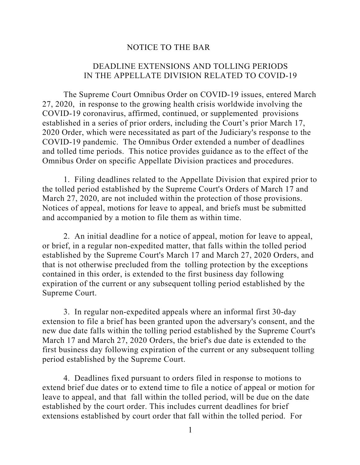## NOTICE TO THE BAR

## DEADLINE EXTENSIONS AND TOLLING PERIODS IN THE APPELLATE DIVISION RELATED TO COVID-19

The Supreme Court Omnibus Order on COVID-19 issues, entered March 27, 2020, in response to the growing health crisis worldwide involving the COVID-19 coronavirus, affirmed, continued, or supplemented provisions established in a series of prior orders, including the Court's prior March 17, 2020 Order, which were necessitated as part of the Judiciary's response to the COVID-19 pandemic. The Omnibus Order extended a number of deadlines and tolled time periods. This notice provides guidance as to the effect of the Omnibus Order on specific Appellate Division practices and procedures.

1. Filing deadlines related to the Appellate Division that expired prior to the tolled period established by the Supreme Court's Orders of March 17 and March 27, 2020, are not included within the protection of those provisions. Notices of appeal, motions for leave to appeal, and briefs must be submitted and accompanied by a motion to file them as within time.

2. An initial deadline for a notice of appeal, motion for leave to appeal, or brief, in a regular non-expedited matter, that falls within the tolled period established by the Supreme Court's March 17 and March 27, 2020 Orders, and that is not otherwise precluded from the tolling protection by the exceptions contained in this order, is extended to the first business day following expiration of the current or any subsequent tolling period established by the Supreme Court.

3. In regular non-expedited appeals where an informal first 30-day extension to file a brief has been granted upon the adversary's consent, and the new due date falls within the tolling period established by the Supreme Court's March 17 and March 27, 2020 Orders, the brief's due date is extended to the first business day following expiration of the current or any subsequent tolling period established by the Supreme Court.

4. Deadlines fixed pursuant to orders filed in response to motions to extend brief due dates or to extend time to file a notice of appeal or motion for leave to appeal, and that fall within the tolled period, will be due on the date established by the court order. This includes current deadlines for brief extensions established by court order that fall within the tolled period. For